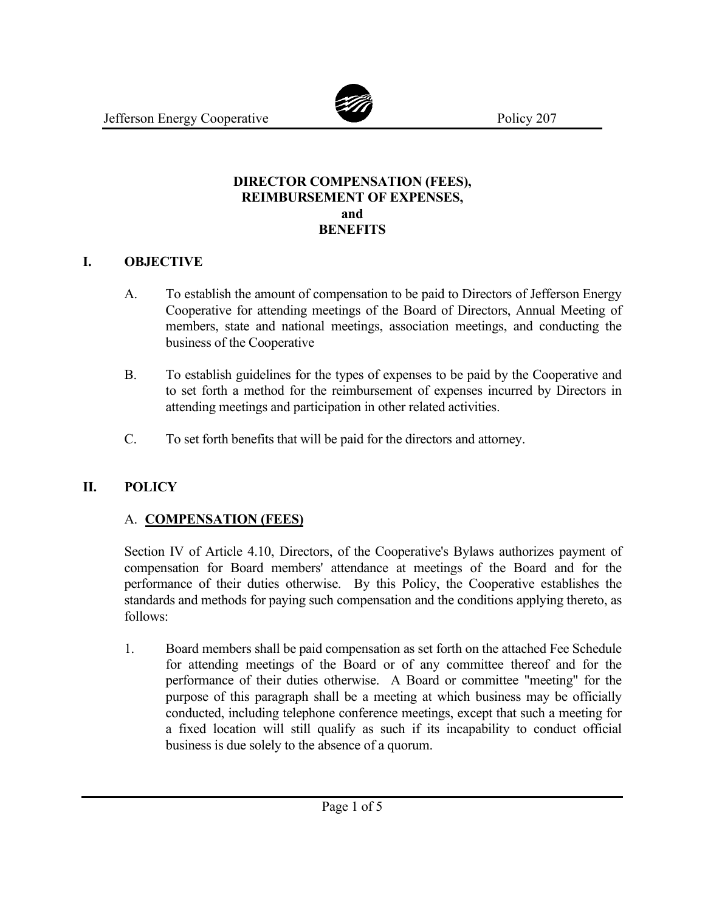

#### **DIRECTOR COMPENSATION (FEES), REIMBURSEMENT OF EXPENSES, and BENEFITS**

### **I. OBJECTIVE**

- A. To establish the amount of compensation to be paid to Directors of Jefferson Energy Cooperative for attending meetings of the Board of Directors, Annual Meeting of members, state and national meetings, association meetings, and conducting the business of the Cooperative
- B. To establish guidelines for the types of expenses to be paid by the Cooperative and to set forth a method for the reimbursement of expenses incurred by Directors in attending meetings and participation in other related activities.
- C. To set forth benefits that will be paid for the directors and attorney.

## **II. POLICY**

## A. **COMPENSATION (FEES)**

Section IV of Article 4.10, Directors, of the Cooperative's Bylaws authorizes payment of compensation for Board members' attendance at meetings of the Board and for the performance of their duties otherwise. By this Policy, the Cooperative establishes the standards and methods for paying such compensation and the conditions applying thereto, as follows:

1. Board members shall be paid compensation as set forth on the attached Fee Schedule for attending meetings of the Board or of any committee thereof and for the performance of their duties otherwise. A Board or committee "meeting" for the purpose of this paragraph shall be a meeting at which business may be officially conducted, including telephone conference meetings, except that such a meeting for a fixed location will still qualify as such if its incapability to conduct official business is due solely to the absence of a quorum.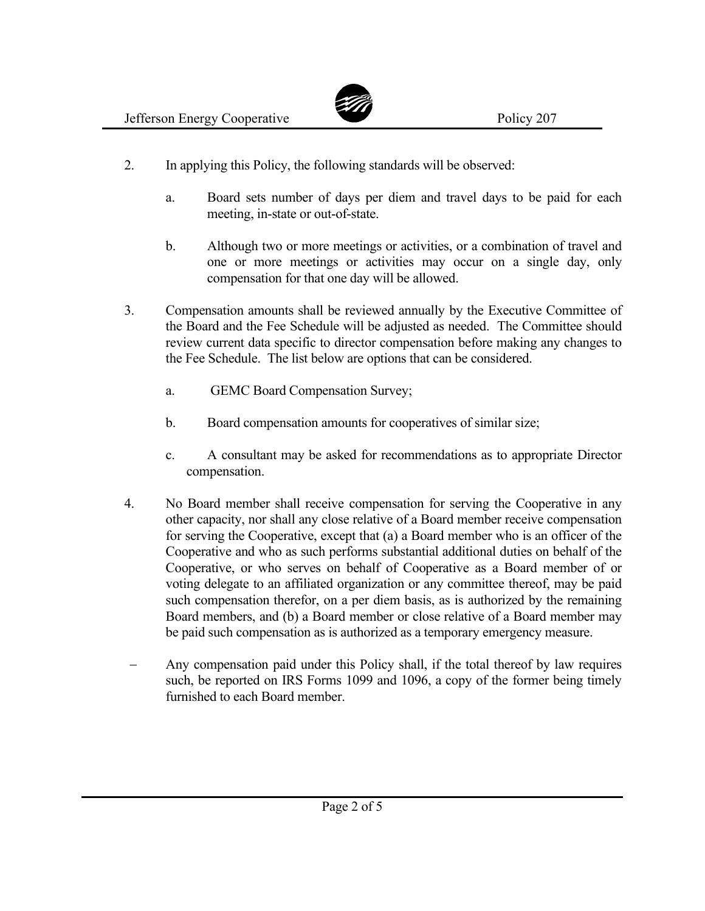

- 2. In applying this Policy, the following standards will be observed:
	- a. Board sets number of days per diem and travel days to be paid for each meeting, in-state or out-of-state.
	- b. Although two or more meetings or activities, or a combination of travel and one or more meetings or activities may occur on a single day, only compensation for that one day will be allowed.
- 3. Compensation amounts shall be reviewed annually by the Executive Committee of the Board and the Fee Schedule will be adjusted as needed. The Committee should review current data specific to director compensation before making any changes to the Fee Schedule. The list below are options that can be considered.
	- a. GEMC Board Compensation Survey;
	- b. Board compensation amounts for cooperatives of similar size;
	- c. A consultant may be asked for recommendations as to appropriate Director compensation.
- 4. No Board member shall receive compensation for serving the Cooperative in any other capacity, nor shall any close relative of a Board member receive compensation for serving the Cooperative, except that (a) a Board member who is an officer of the Cooperative and who as such performs substantial additional duties on behalf of the Cooperative, or who serves on behalf of Cooperative as a Board member of or voting delegate to an affiliated organization or any committee thereof, may be paid such compensation therefor, on a per diem basis, as is authorized by the remaining Board members, and (b) a Board member or close relative of a Board member may be paid such compensation as is authorized as a temporary emergency measure.
- Any compensation paid under this Policy shall, if the total thereof by law requires such, be reported on IRS Forms 1099 and 1096, a copy of the former being timely furnished to each Board member.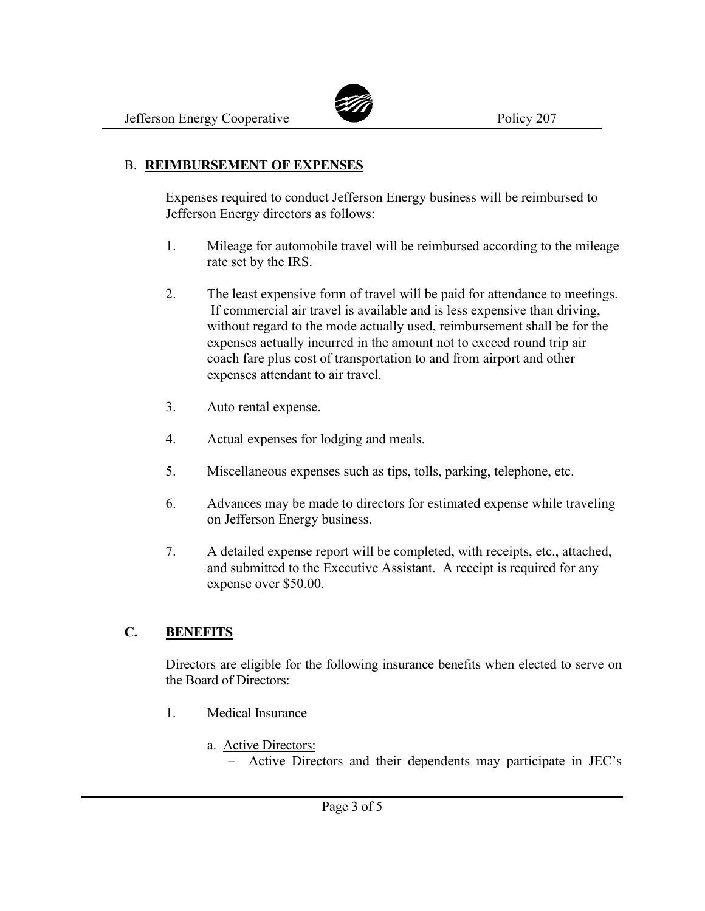

### B. **REIMBURSEMENT OF EXPENSES**

Expenses required to conduct Jefferson Energy business will be reimbursed to Jefferson Energy directors as follows:

- 1. Mileage for automobile travel will be reimbursed according to the mileage rate set by the IRS.
- 2. The least expensive form of travel will be paid for attendance to meetings. If commercial air travel is available and is less expensive than driving, without regard to the mode actually used, reimbursement shall be for the expenses actually incurred in the amount not to exceed round trip air coach fare plus cost of transportation to and from airport and other expenses attendant to air travel.
- 3. Auto rental expense.
- 4. Actual expenses for lodging and meals.
- 5. Miscellaneous expenses such as tips, tolls, parking, telephone, etc.
- 6. Advances may be made to directors for estimated expense while traveling on Jefferson Energy business.
- 7. A detailed expense report will be completed, with receipts, etc., attached, and submitted to the Executive Assistant. A receipt is required for any expense over \$50.00.

## **C. BENEFITS**

Directors are eligible for the following insurance benefits when elected to serve on the Board of Directors:

- 1. Medical Insurance
	- a. Active Directors:
		- − Active Directors and their dependents may participate in JEC's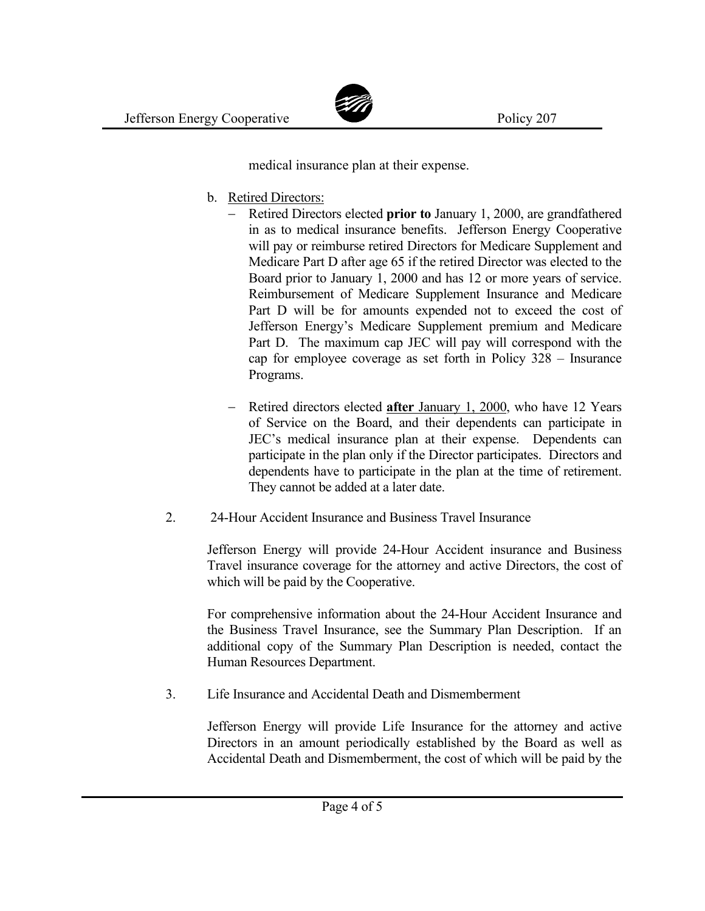

medical insurance plan at their expense.

- b. Retired Directors:
	- − Retired Directors elected **prior to** January 1, 2000, are grandfathered in as to medical insurance benefits. Jefferson Energy Cooperative will pay or reimburse retired Directors for Medicare Supplement and Medicare Part D after age 65 if the retired Director was elected to the Board prior to January 1, 2000 and has 12 or more years of service. Reimbursement of Medicare Supplement Insurance and Medicare Part D will be for amounts expended not to exceed the cost of Jefferson Energy's Medicare Supplement premium and Medicare Part D. The maximum cap JEC will pay will correspond with the cap for employee coverage as set forth in Policy 328 – Insurance Programs.
	- − Retired directors elected **after** January 1, 2000, who have 12 Years of Service on the Board, and their dependents can participate in JEC's medical insurance plan at their expense. Dependents can participate in the plan only if the Director participates. Directors and dependents have to participate in the plan at the time of retirement. They cannot be added at a later date.
- 2. 24-Hour Accident Insurance and Business Travel Insurance

Jefferson Energy will provide 24-Hour Accident insurance and Business Travel insurance coverage for the attorney and active Directors, the cost of which will be paid by the Cooperative.

For comprehensive information about the 24-Hour Accident Insurance and the Business Travel Insurance, see the Summary Plan Description. If an additional copy of the Summary Plan Description is needed, contact the Human Resources Department.

3. Life Insurance and Accidental Death and Dismemberment

Jefferson Energy will provide Life Insurance for the attorney and active Directors in an amount periodically established by the Board as well as Accidental Death and Dismemberment, the cost of which will be paid by the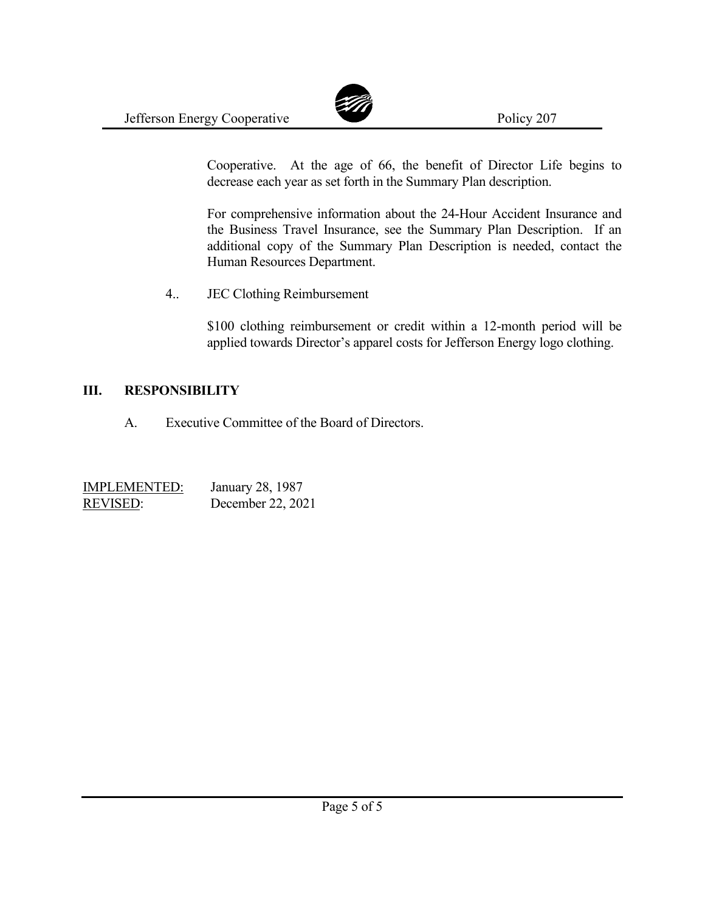

Cooperative. At the age of 66, the benefit of Director Life begins to decrease each year as set forth in the Summary Plan description.

For comprehensive information about the 24-Hour Accident Insurance and the Business Travel Insurance, see the Summary Plan Description. If an additional copy of the Summary Plan Description is needed, contact the Human Resources Department.

4.. JEC Clothing Reimbursement

\$100 clothing reimbursement or credit within a 12-month period will be applied towards Director's apparel costs for Jefferson Energy logo clothing.

#### **III. RESPONSIBILITY**

A. Executive Committee of the Board of Directors.

| <b>IMPLEMENTED:</b> | January 28, 1987  |
|---------------------|-------------------|
| <b>REVISED:</b>     | December 22, 2021 |